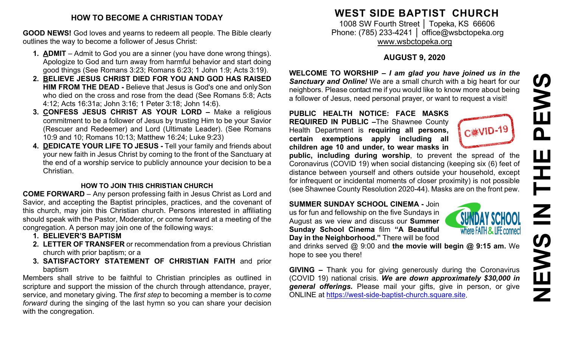### **HOW TO BECOME A CHRISTIAN TODAY**

**GOOD NEWS!** God loves and yearns to redeem all people. The Bible clearly outlines the way to become a follower of Jesus Christ:

- **1. ADMIT**  Admit to God you are a sinner (you have done wrong things). Apologize to God and turn away from harmful behavior and start doing good things (See Romans 3:23; Romans 6:23; 1 John 1:9; Acts 3:19).
- **2. BELIEVE JESUS CHRIST DIED FOR YOU AND GOD HAS RAISED HIM FROM THE DEAD -** Believe that Jesus is God's one and onlySon who died on the cross and rose from the dead (See Romans 5:8; Acts 4:12; Acts 16:31a; John 3:16; 1 Peter 3:18; John 14:6).
- **3. CONFESS JESUS CHRIST AS YOUR LORD –** Make a religious commitment to be a follower of Jesus by trusting Him to be your Savior (Rescuer and Redeemer) and Lord (Ultimate Leader). (See Romans 10:9 and 10; Romans 10:13; Matthew 16:24; Luke 9:23)
- **4. DEDICATE YOUR LIFE TO JESUS -** Tell your family and friends about your new faith in Jesus Christ by coming to the front of the Sanctuary at the end of a worship service to publicly announce your decision to be a Christian.

### **HOW TO JOIN THIS CHRISTIAN CHURCH**

**COME FORWARD** – Any person professing faith in Jesus Christ as Lord and Savior, and accepting the Baptist principles, practices, and the covenant of this church, may join this Christian church. Persons interested in affiliating should speak with the Pastor, Moderator, or come forward at a meeting of the congregation. A person may join one of the following ways:

- **1. BELIEVER'S BAPTISM**
- **2. LETTER OF TRANSFER** or recommendation from a previous Christian church with prior baptism; or a
- **3. SATISFACTORY STATEMENT OF CHRISTIAN FAITH** and prior baptism

Members shall strive to be faithful to Christian principles as outlined in scripture and support the mission of the church through attendance, prayer, service, and monetary giving. The *first step* to becoming a member is to *come forward* during the singing of the last hymn so you can share your decision with the congregation.

## **WEST SIDE BAPTIST CHURCH**

1008 SW Fourth Street | Topeka, KS 66606 Phone: (785) 233-4241 │ [office@wsbctopeka.org](mailto:office@wsbctopeka.org) [www.wsbctopeka.org](http://www.wsbctopeka.org/)

## **AUGUST 9, 2020**

**WELCOME TO WORSHIP –** *I am glad you have joined us in the Sanctuary and Online!* We are a small church with a big heart for our neighbors. Please contact me if you would like to know more about being a follower of Jesus, need personal prayer, or want to request a visit!

**PUBLIC HEALTH NOTICE: FACE MASKS REQUIRED IN PUBLIC –**The Shawnee County Health Department is **requiring all persons, certain exemptions apply including all children age 10 and under, to wear masks in** 



**public, including during worship**, to prevent the spread of the Coronavirus (COVID 19) when social distancing (keeping six (6) feet of distance between yourself and others outside your household, except for infrequent or incidental moments of closer proximity) is not possible (see Shawnee County Resolution 2020-44). Masks are on the front pew.

#### **SUMMER SUNDAY SCHOOL CINEMA -** Join

us for fun and fellowship on the five Sundays in August as we view and discuss our **Summer Sunday School Cinema** film **"A Beautiful Day in the Neighborhood."** There will be food



and drinks served @ 9:00 and **the movie will begin @ 9:15 am.** We hope to see you there!

**GIVING –** Thank you for giving generously during the Coronavirus (COVID 19) national crisis. *We are down approximately \$30,000 in general offerings.* Please mail your gifts, give in person, or give ONLINE at [https://west-side-baptist-church.square.site.](https://west-side-baptist-church.square.site/)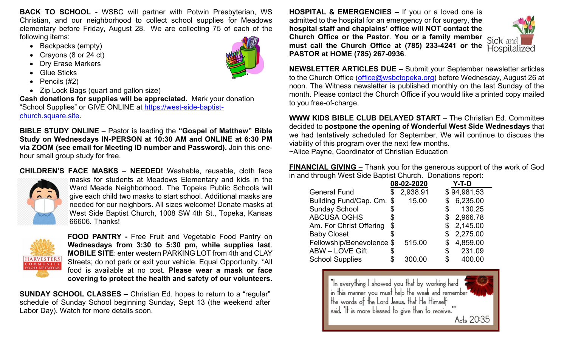**BACK TO SCHOOL -** WSBC will partner with Potwin Presbyterian, WS Christian, and our neighborhood to collect school supplies for Meadows elementary before Friday, August 28. We are collecting 75 of each of the following items:

- Backpacks (empty)
- Crayons (8 or 24 ct)
- Dry Erase Markers
- Glue Sticks
- Pencils (#2)
- Zip Lock Bags (quart and gallon size)

**Cash donations for supplies will be appreciated.** Mark your donation "School Supplies" or GIVE ONLINE at [https://west-side-baptist](https://west-side-baptist-church.square.site/)[church.square.site.](https://west-side-baptist-church.square.site/)

**BIBLE STUDY ONLINE** – Pastor is leading the **"Gospel of Matthew" Bible Study on Wednesdays IN-PERSON at 10:30 AM and ONLINE at 6:30 PM via ZOOM (see email for Meeting ID number and Password).** Join this onehour small group study for free.

**CHILDREN'S FACE MASKS** – **NEEDED!** Washable, [reusable, cloth](https://nextdoor.com/news_feed/?post=155629527&is=npe&mar=false&ct=BgkLRxK_kUfufApdcecdosUCxLcqgbPaQ_Gg-2IY2NlrRaq2bpMDOSDoY_GCy84Q&ec=iD9EVf8Fqz_GipY9l9G7ig==&token=TBZBxdG2WbEk0mYSwQGqzKGdoDCzxFuWDjeZ0kzGgT0BzasgBHhy6iRPISpftfNhWqt2RAAJX9uEhigwXTopVKqwnU3us_MCMfUPUWcq4VY%3D&auto_token=62LLcwTu_ghjIiTFPF5WALVGj_oNZnTxqmgoKXOWdIGckbo_MY8IqQM2Efpf34bBU9E0CBmIjp5ylAnO7J778wfKh9MNbBRsnQB4ZeWb5jY%3D) face



[masks for students at Meadows Elementary and kids in the](https://nextdoor.com/news_feed/?post=155629527&is=npe&mar=false&ct=BgkLRxK_kUfufApdcecdosUCxLcqgbPaQ_Gg-2IY2NlrRaq2bpMDOSDoY_GCy84Q&ec=iD9EVf8Fqz_GipY9l9G7ig==&token=TBZBxdG2WbEk0mYSwQGqzKGdoDCzxFuWDjeZ0kzGgT0BzasgBHhy6iRPISpftfNhWqt2RAAJX9uEhigwXTopVKqwnU3us_MCMfUPUWcq4VY%3D&auto_token=62LLcwTu_ghjIiTFPF5WALVGj_oNZnTxqmgoKXOWdIGckbo_MY8IqQM2Efpf34bBU9E0CBmIjp5ylAnO7J778wfKh9MNbBRsnQB4ZeWb5jY%3D)  [Ward Meade Neighborhood. The Topeka Public Schools will](https://nextdoor.com/news_feed/?post=155629527&is=npe&mar=false&ct=BgkLRxK_kUfufApdcecdosUCxLcqgbPaQ_Gg-2IY2NlrRaq2bpMDOSDoY_GCy84Q&ec=iD9EVf8Fqz_GipY9l9G7ig==&token=TBZBxdG2WbEk0mYSwQGqzKGdoDCzxFuWDjeZ0kzGgT0BzasgBHhy6iRPISpftfNhWqt2RAAJX9uEhigwXTopVKqwnU3us_MCMfUPUWcq4VY%3D&auto_token=62LLcwTu_ghjIiTFPF5WALVGj_oNZnTxqmgoKXOWdIGckbo_MY8IqQM2Efpf34bBU9E0CBmIjp5ylAnO7J778wfKh9MNbBRsnQB4ZeWb5jY%3D)  [give each child two masks to start school. Additional masks are](https://nextdoor.com/news_feed/?post=155629527&is=npe&mar=false&ct=BgkLRxK_kUfufApdcecdosUCxLcqgbPaQ_Gg-2IY2NlrRaq2bpMDOSDoY_GCy84Q&ec=iD9EVf8Fqz_GipY9l9G7ig==&token=TBZBxdG2WbEk0mYSwQGqzKGdoDCzxFuWDjeZ0kzGgT0BzasgBHhy6iRPISpftfNhWqt2RAAJX9uEhigwXTopVKqwnU3us_MCMfUPUWcq4VY%3D&auto_token=62LLcwTu_ghjIiTFPF5WALVGj_oNZnTxqmgoKXOWdIGckbo_MY8IqQM2Efpf34bBU9E0CBmIjp5ylAnO7J778wfKh9MNbBRsnQB4ZeWb5jY%3D)  [needed for our neighbors. All sizes welcome! Donate masks at](https://nextdoor.com/news_feed/?post=155629527&is=npe&mar=false&ct=BgkLRxK_kUfufApdcecdosUCxLcqgbPaQ_Gg-2IY2NlrRaq2bpMDOSDoY_GCy84Q&ec=iD9EVf8Fqz_GipY9l9G7ig==&token=TBZBxdG2WbEk0mYSwQGqzKGdoDCzxFuWDjeZ0kzGgT0BzasgBHhy6iRPISpftfNhWqt2RAAJX9uEhigwXTopVKqwnU3us_MCMfUPUWcq4VY%3D&auto_token=62LLcwTu_ghjIiTFPF5WALVGj_oNZnTxqmgoKXOWdIGckbo_MY8IqQM2Efpf34bBU9E0CBmIjp5ylAnO7J778wfKh9MNbBRsnQB4ZeWb5jY%3D)  [West Side Baptist Church, 1008 SW 4th St., Topeka, Kansas](https://nextdoor.com/news_feed/?post=155629527&is=npe&mar=false&ct=BgkLRxK_kUfufApdcecdosUCxLcqgbPaQ_Gg-2IY2NlrRaq2bpMDOSDoY_GCy84Q&ec=iD9EVf8Fqz_GipY9l9G7ig==&token=TBZBxdG2WbEk0mYSwQGqzKGdoDCzxFuWDjeZ0kzGgT0BzasgBHhy6iRPISpftfNhWqt2RAAJX9uEhigwXTopVKqwnU3us_MCMfUPUWcq4VY%3D&auto_token=62LLcwTu_ghjIiTFPF5WALVGj_oNZnTxqmgoKXOWdIGckbo_MY8IqQM2Efpf34bBU9E0CBmIjp5ylAnO7J778wfKh9MNbBRsnQB4ZeWb5jY%3D)  [66606. Thanks!](https://nextdoor.com/news_feed/?post=155629527&is=npe&mar=false&ct=BgkLRxK_kUfufApdcecdosUCxLcqgbPaQ_Gg-2IY2NlrRaq2bpMDOSDoY_GCy84Q&ec=iD9EVf8Fqz_GipY9l9G7ig==&token=TBZBxdG2WbEk0mYSwQGqzKGdoDCzxFuWDjeZ0kzGgT0BzasgBHhy6iRPISpftfNhWqt2RAAJX9uEhigwXTopVKqwnU3us_MCMfUPUWcq4VY%3D&auto_token=62LLcwTu_ghjIiTFPF5WALVGj_oNZnTxqmgoKXOWdIGckbo_MY8IqQM2Efpf34bBU9E0CBmIjp5ylAnO7J778wfKh9MNbBRsnQB4ZeWb5jY%3D)



**FOOD PANTRY -** Free Fruit and Vegetable Food Pantry on **Wednesdays from 3:30 to 5:30 pm, while supplies last**. **MOBILE SITE**: enter western PARKING LOT from 4th and CLAY Streets; do not park or exit your vehicle. Equal Opportunity. \*All food is available at no cost. **Please wear a mask or face covering to protect the health and safety of our volunteers.**

**SUNDAY SCHOOL CLASSES –** Christian Ed. hopes to return to a "regular" schedule of Sunday School beginning Sunday, Sept 13 (the weekend after Labor Day). Watch for more details soon.

**HOSPITAL & EMERGENCIES –** If you or a loved one is admitted to the hospital for an emergency or for surgery, **the hospital staff and chaplains' office will NOT contact the Church Office or the Pastor. You or a family member** Sick and **must call the Church Office at (785) 233-4241 or the PASTOR at HOME (785) 267-0936**.



**NEWSLETTER ARTICLES DUE –** Submit your September newsletter articles to the Church Office [\(office@wsbctopeka.org\)](mailto:office@wsbctopeka.org) before Wednesday, August 26 at noon. The Witness newsletter is published monthly on the last Sunday of the month. Please contact the Church Office if you would like a printed copy mailed to you free-of-charge.

**WWW KIDS BIBLE CLUB DELAYED START** – The Christian Ed. Committee decided to **postpone the opening of Wonderful West Side Wednesdays** that we had tentatively scheduled for September. We will continue to discuss the viability of this program over the next few months. ~Alice Payne, Coordinator of Christian Education

**FINANCIAL GIVING** – Thank you for the generous support of the work of God in and through West Side Baptist Church. Donations report:

|                           |                       | 08-02-2020 | $Y-T-D$        |
|---------------------------|-----------------------|------------|----------------|
| <b>General Fund</b>       |                       | 2,938.91   | \$94,981.53    |
| Building Fund/Cap. Cm.    | $\boldsymbol{\theta}$ | 15.00      | 6,235.00<br>\$ |
| <b>Sunday School</b>      | \$                    |            | 130.25<br>\$   |
| <b>ABCUSA OGHS</b>        | \$                    |            | 2,966.78<br>S  |
| Am. For Christ Offering   | \$                    |            | 2,145.00<br>\$ |
| <b>Baby Closet</b>        | S.                    |            | 2,275.00<br>S  |
| Fellowship/Benevolence \$ |                       | 515.00     | 4,859.00<br>\$ |
| <b>ABW-LOVE Gift</b>      | \$                    |            | 231.09<br>\$   |
| <b>School Supplies</b>    |                       | 300.00     | \$<br>400.00   |